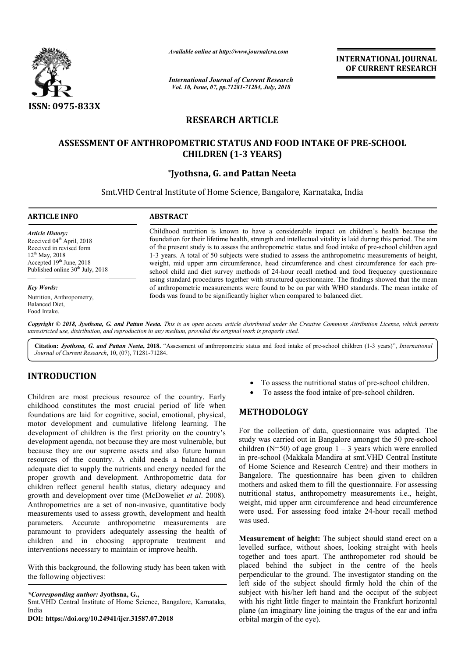

*Available online at http://www.journalcra.com*

*International Journal of Current Research Vol. 10, Issue, 07, pp.71281-71284, July, 2018*

**INTERNATIONAL JOURNAL OF CURRENT RESEARCH**

# **RESEARCH ARTICLE**

# ASSESSMENT OF ANTHROPOMETRIC STATUS AND FOOD INTAKE OF PRE-SCHOOL **CHILDREN (1-3 YEARS)**

# **\*Jyothsna, G. and Pattan Neeta**

Smt. VHD Central Institute of Home Science, Bangalore, Karnataka, India

#### **ARTICLE INFO ABSTRACT** Childhood nutrition is known to have a considerable impact on children's health because the Childhood nutrition is known to have a considerable impact on children's health because the foundation for their lifetime health, strength and intellectual vitality is laid during this period. The aim of the present study *Article History:* Received 04<sup>th</sup> April, 2018 Received in revised form 12<sup>th</sup> May, 2018 Accepted 19th June, 2018 Published online  $30<sup>th</sup>$  July, 2018

*Key Words:*

Nutrition, Anthropometry, Balanced Diet, Food Intake.

foundation for their lifetime health, strength and intellectual vitality is laid during this period. The aim 1-3 years. A total of 50 subjects were studied to assess the anthropometric measurements of height, 1-3 years. A total of 50 subjects were studied to assess the anthropometric measurements of height, weight, mid upper arm circumference, head circumference and chest circumference for each pre-1-3 years. A total of 50 subjects were studied to assess the anthropometric measurements of height, weight, mid upper arm circumference, head circumference and chest circumference for each preschool child and diet survey m using standard procedures together with structured questionnaire. The findings showed that the mean of anthropometric measurements were found to be on par with WHO standards. The mean intake of foods was found to be significantly higher when compared to balanced diet. school child and diet survey methods of 24-hour recall method and food frequency questionnaire<br>using standard procedures together with structured questionnaire. The findings showed that the mean<br>of anthropometric measureme

Copyright © 2018, Jyothsna, G. and Pattan Neeta. This is an open access article distributed under the Creative Commons Attribution License, which permits *unrestricted use, distribution, and reproduction in any medium, provided the original work is properly cited.*

Citation: *Jyothsna, G. and Pattan Neeta*, 2018. "Assessment of anthropometric status and food intake of pre-school children (1-3 years)", *International Journal of Current Research*, 10, (07), 71281-71284.

# **INTRODUCTION**

Children are most precious resource of the country. Early childhood constitutes the most crucial period of life when foundations are laid for cognitive, social, emotional, physical, motor development and cumulative lifelong learning. The development of children is the first priority on the country's development agenda, not because they are most vulnerable, but because they are our supreme assets and also future human resources of the country. A child needs a balanced and adequate diet to supply the nutrients and energy needed for the proper growth and development. Anthropometric data for children reflect general health status, dietary adequacy and growth and development over time (McDoweliet *et al*. 2008). Anthropometrics are a set of non-invasive, quantitative body measurements used to assess growth, development and health parameters. Accurate anthropometric measurements are paramount to providers adequately assessing the health of children and in choosing appropriate treatment and interventions necessary to maintain or improve health. se they are our supreme<br>rces of the country. A<br>ate diet to supply the nutri<br>r growth and developme<br>en reflect general health

With this background, the following study has been taken with the following objectives:

*\*Corresponding author:* **Jyothsna, G.,**

Smt.VHD Central Institute of Home Science, Bangalore, Karnataka, India

**DOI: https://doi.org/10.24941/ijcr.31587.07.2018**

- To assess the nutritional status of pre-school children.
- To assess the food intake of pre-school children.

## **METHODOLOGY**

<sup>1</sup> To assess the nutritional status of pre<br>
<sup>1</sup> To assess the nutritional status of pre-<br>
ial period of life when<br>
ial, emotional, physical,<br>
If elong learning. The<br>
priority's once the collection of data, questionnaire<br> For the collection of data, questionnaire was adapted. The For the collection of data, questionnaire was adapted. The study was carried out in Bangalore amongst the 50 pre-school children ( $N=50$ ) of age group  $1 - 3$  years which were enrolled in pre-school (Makkala Mandira at smt.VHD Central Institute of Home Science and Research Centre) and their mothers in Bangalore. The questionnaire has been given to children mothers and asked them to fill the questionnaire. For assessing nutritional status, anthropometry measurements i.e., height, weight, mid upper arm circumference and head circumference were used. For assessing food intake 24 24-hour recall method was used. school (Makkala Mandira at smt.VHD Central Institute<br>me Science and Research Centre) and their mothers in<br>lore. The questionnaire has been given to children<br>s and asked them to fill the questionnaire. For assessing

**Measurement of height:** The subject should stand erect on a levelled surface, without shoes, looking straight with heels together and toes apart. The anthropometer rod should be placed behind the subject in the centre of the heels perpendicular to the ground. The investigator sta left side of the subject should firmly hold the chin of the subject with his/her left hand and the occiput of the subject with his right little finger to maintain the Frankfurt horizontal left side of the subject should firmly hold the chin of the subject with his/her left hand and the occiput of the subject with his right little finger to maintain the Frankfurt horizontal plane (an imaginary line joining t orbital margin of the eye). **Measurement of height:** The subject should stand erect on a levelled surface, without shoes, looking straight with heels together and toes apart. The anthropometer rod should be placed behind the subject in the centre of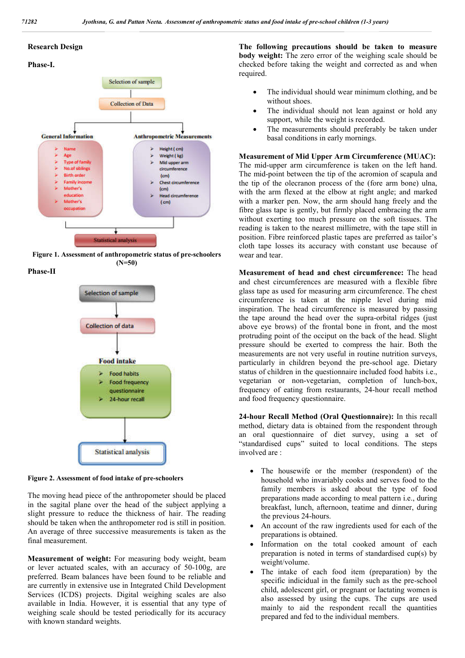### **Research Design**

### **Phase-I.**



**Figure 1. Assessment of anthropometric status of pre-schoolers (N=50)**

**Phase-II**



**Figure 2. Assessment of food intake of pre-schoolers**

The moving head piece of the anthropometer should be placed in the sagital plane over the head of the subject applying a slight pressure to reduce the thickness of hair. The reading should be taken when the anthropometer rod is still in position. An average of three successive measurements is taken as the final measurement.

**Measurement of weight:** For measuring body weight, beam or lever actuated scales, with an accuracy of 50-100g, are preferred. Beam balances have been found to be reliable and are currently in extensive use in Integrated Child Development Services (ICDS) projects. Digital weighing scales are also available in India. However, it is essential that any type of weighing scale should be tested periodically for its accuracy with known standard weights.

**The following precautions should be taken to measure body weight:** The zero error of the weighing scale should be checked before taking the weight and corrected as and when required.

- The individual should wear minimum clothing, and be without shoes.
- The individual should not lean against or hold any support, while the weight is recorded.
- The measurements should preferably be taken under basal conditions in early mornings.

**Measurement of Mid Upper Arm Circumference (MUAC):** The mid-upper arm circumference is taken on the left hand. The mid-point between the tip of the acromion of scapula and the tip of the olecranon process of the (fore arm bone) ulna, with the arm flexed at the elbow at right angle; and marked with a marker pen. Now, the arm should hang freely and the fibre glass tape is gently, but firmly placed embracing the arm without exerting too much pressure on the soft tissues. The reading is taken to the nearest millimetre, with the tape still in position. Fibre reinforced plastic tapes are preferred as tailor's cloth tape losses its accuracy with constant use because of wear and tear.

**Measurement of head and chest circumference:** The head and chest circumferences are measured with a flexible fibre glass tape as used for measuring arm circumference. The chest circumference is taken at the nipple level during mid inspiration. The head circumference is measured by passing the tape around the head over the supra-orbital ridges (just above eye brows) of the frontal bone in front, and the most protruding point of the occiput on the back of the head. Slight pressure should be exerted to compress the hair. Both the measurements are not very useful in routine nutrition surveys, particularly in children beyond the pre-school age. Dietary status of children in the questionnaire included food habits i.e., vegetarian or non-vegetarian, completion of lunch-box, frequency of eating from restaurants, 24-hour recall method and food frequency questionnaire.

**24-hour Recall Method (Oral Questionnaire):** In this recall method, dietary data is obtained from the respondent through an oral questionnaire of diet survey, using a set of "standardised cups" suited to local conditions. The steps involved are :

- The housewife or the member (respondent) of the household who invariably cooks and serves food to the family members is asked about the type of food preparations made according to meal pattern i.e., during breakfast, lunch, afternoon, teatime and dinner, during the previous 24-hours.
- An account of the raw ingredients used for each of the preparations is obtained.
- Information on the total cooked amount of each preparation is noted in terms of standardised cup(s) by weight/volume.
- The intake of each food item (preparation) by the specific indicidual in the family such as the pre-school child, adolescent girl, or pregnant or lactating women is also assessed by using the cups. The cups are used mainly to aid the respondent recall the quantities prepared and fed to the individual members.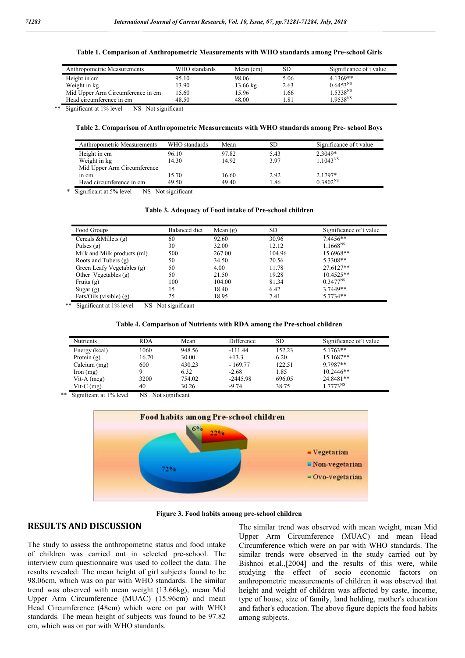**Table 1. Comparison of Anthropometric Measurements with WHO standards among Pre-school Girls**

| Anthropometric Measurements       | WHO standards | Mean (cm)          | SD    | Significance of t value |
|-----------------------------------|---------------|--------------------|-------|-------------------------|
| Height in cm                      | 95.10         | 98.06              | 5.06  | $4.1369**$              |
| Weight in kg                      | 13.90         | $13.66 \text{ kg}$ | 2.63  | $0.6453^{NS}$           |
| Mid Upper Arm Circumference in cm | 15.60         | 15.96              | 1.66  | 1.5338 <sup>NS</sup>    |
| Head circumference in cm          | 48.50         | 48.00              | $-81$ | 1.9538 <sup>NS</sup>    |

\*\* Significant at 1% level NS Not significant

### **Table 2. Comparison of Anthropometric Measurements with WHO standards among Pre- school Boys**

| Anthropometric Measurements | WHO standards | Mean  | <b>SD</b> | Significance of t value |
|-----------------------------|---------------|-------|-----------|-------------------------|
| Height in cm                | 96.10         | 97.82 | 5.43      | 2.3049*                 |
| Weight in kg                | 14.30         | 14.92 | 3.97      | 1.1043 <sup>NS</sup>    |
| Mid Upper Arm Circumference |               |       |           |                         |
| in cm                       | 15.70         | 16.60 | 2.92      | $2.1797*$               |
| Head circumference in cm    | 49.50         | 49.40 | l.86      | $0.3802^{NS}$           |

\* Significant at 5% level NS Not significant

#### **Table 3. Adequacy of Food intake of Pre-school children**

| Food Groups                 | Balanced diet | Mean $(g)$ | SD.    | Significance of t value |
|-----------------------------|---------------|------------|--------|-------------------------|
| Cereals & Millets $(g)$     | 60            | 92.60      | 30.96  | 7.4456**                |
| Pulses $(g)$                | 30            | 32.00      | 12.12  | $1.1668^{NS}$           |
| Milk and Milk products (ml) | 500           | 267.00     | 104.96 | 15.6968**               |
| Roots and Tubers (g)        | 50            | 34.50      | 20.56  | 5.3308**                |
| Green Leafy Vegetables (g)  | 50            | 4.00       | 11.78  | 27.6127**               |
| Other Vegetables $(g)$      | 50            | 21.50      | 19.28  | $10.4525**$             |
| Fruits $(g)$                | 100           | 104.00     | 81.34  | $0.3477^{NS}$           |
| Sugar $(g)$                 | 15            | 18.40      | 6.42   | 3.7449**                |
| Fats/Oils (visible) $(g)$   | 25            | 18.95      | 7.41   | 5.7734**                |

\*\* Significant at 1% level NS Not significant

#### **Table 4. Comparison of Nutrients with RDA among the Pre-school children**

| Nutrients            | <b>RDA</b> | Mean   | Difference | SD     | Significance of t value |
|----------------------|------------|--------|------------|--------|-------------------------|
| Energy (kcal)        | 1060       | 948.56 | $-111.44$  | 152.23 | $5.1763**$              |
| Protein $(g)$        | 16.70      | 30.00  | $+13.3$    | 6.20   | 15.1687**               |
| Calcium (mg)         | 600        | 430.23 | $-169.77$  | 122.51 | 9.7987**                |
| $\Gamma$ Iron $(mg)$ |            | 6.32   | $-2.68$    | 1.85   | $10.2446**$             |
| Vit-A $(mcg)$        | 3200       | 754.02 | $-2445.98$ | 696.05 | 24.8481**               |
| Vit-C $(mg)$         | 40         | 30.26  | $-9.74$    | 38.75  | 1 7773 $^{\rm NS}$      |

\*\* Significant at 1% level NS Not significant



**Figure 3. Food habits among pre-school children**

## **RESULTS AND DISCUSSION**

The study to assess the anthropometric status and food intake of children was carried out in selected pre-school. The interview cum questionnaire was used to collect the data. The results revealed: The mean height of girl subjects found to be 98.06cm, which was on par with WHO standards. The similar trend was observed with mean weight (13.66kg), mean Mid Upper Arm Circumference (MUAC) (15.96cm) and mean Head Circumference (48cm) which were on par with WHO standards. The mean height of subjects was found to be 97.82 cm, which was on par with WHO standards.

The similar trend was observed with mean weight, mean Mid Upper Arm Circumference (MUAC) and mean Head Circumference which were on par with WHO standards. The similar trends were observed in the study carried out by Bishnoi et.al.,[2004] and the results of this were, while studying the effect of socio economic factors on anthropometric measurements of children it was observed that height and weight of children was affected by caste, income, type of house, size of family, land holding, mother's education and father's education. The above figure depicts the food habits among subjects.